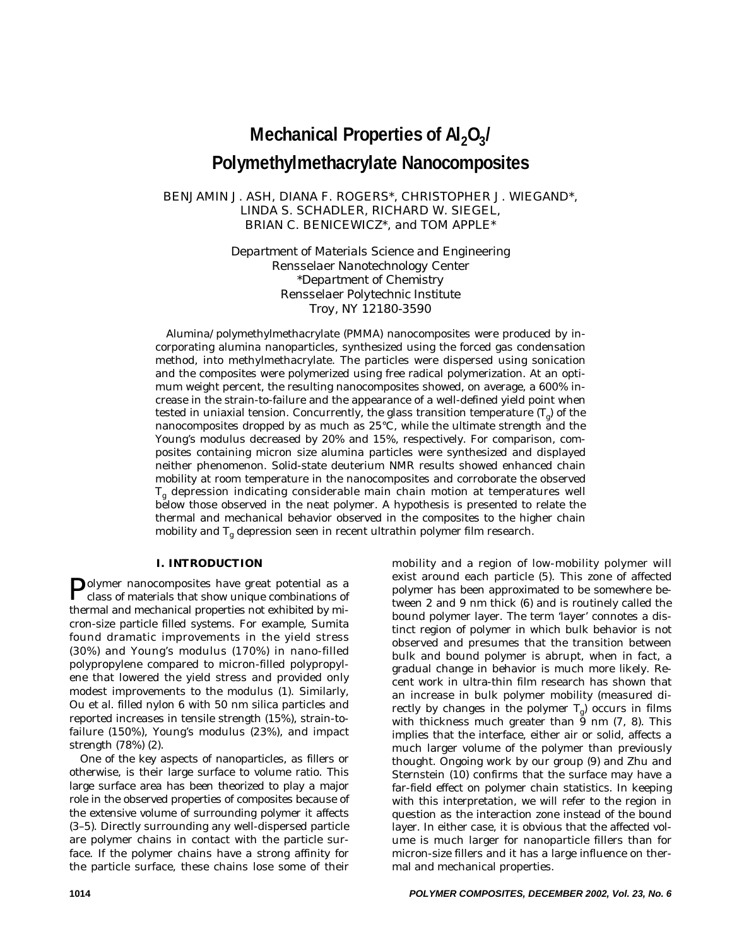# **Mechanical Properties of Al<sub>2</sub>O<sub>3</sub>/ Polymethylmethacrylate Nanocomposites**

# BENJAMIN J. ASH, DIANA F. ROGERS\*, CHRISTOPHER J. WIEGAND\*, LINDA S. SCHADLER, RICHARD W. SIEGEL, BRIAN C. BENICEWICZ\*, *and* TOM APPLE\*

*Department of Materials Science and Engineering Rensselaer Nanotechnology Center \*Department of Chemistry Rensselaer Polytechnic Institute Troy, NY 12180-3590*

Alumina/polymethylmethacrylate (PMMA) nanocomposites were produced by incorporating alumina nanoparticles, synthesized using the forced gas condensation method, into methylmethacrylate. The particles were dispersed using sonication and the composites were polymerized using free radical polymerization. At an optimum weight percent, the resulting nanocomposites showed, on average, a 600% increase in the strain-to-failure and the appearance of a well-defined yield point when tested in uniaxial tension. Concurrently, the glass transition temperature  $(T_{\rho})$  of the nanocomposites dropped by as much as 25°C, while the ultimate strength and the Young's modulus decreased by 20% and 15%, respectively. For comparison, composites containing micron size alumina particles were synthesized and displayed neither phenomenon. Solid-state deuterium NMR results showed enhanced chain mobility at room temperature in the nanocomposites and corroborate the observed  $T_g$  depression indicating considerable main chain motion at temperatures well below those observed in the neat polymer. A hypothesis is presented to relate the thermal and mechanical behavior observed in the composites to the higher chain mobility and  $T_g$  depression seen in recent ultrathin polymer film research.

## **I. INTRODUCTION**

Polymer nanocomposites have great potential as a class of materials that show unique combinations of thermal and mechanical properties not exhibited by micron-size particle filled systems. For example, Sumita found dramatic improvements in the yield stress (30%) and Young's modulus (170%) in nano-filled polypropylene compared to micron-filled polypropylene that lowered the yield stress and provided only modest improvements to the modulus (1). Similarly, Ou *et al*. filled nylon 6 with 50 nm silica particles and reported increases in tensile strength (15%), strain-tofailure (150%), Young's modulus (23%), and impact strength (78%) (2).

One of the key aspects of nanoparticles, as fillers or otherwise, is their large surface to volume ratio. This large surface area has been theorized to play a major role in the observed properties of composites because of the extensive volume of surrounding polymer it affects (3–5). Directly surrounding any well-dispersed particle are polymer chains in contact with the particle surface. If the polymer chains have a strong affinity for the particle surface, these chains lose some of their

mobility and a region of low-mobility polymer will exist around each particle (5). This zone of affected polymer has been approximated to be somewhere between 2 and 9 nm thick (6) and is routinely called the bound polymer layer. The term 'layer' connotes a distinct region of polymer in which bulk behavior is not observed and presumes that the transition between bulk and bound polymer is abrupt, when in fact, a gradual change in behavior is much more likely. Recent work in ultra-thin film research has shown that an increase in bulk polymer mobility (measured directly by changes in the polymer  $T<sub>g</sub>$ ) occurs in films with thickness much greater than  $\frac{3}{9}$  nm (7, 8). This implies that the interface, either air or solid, affects a much larger volume of the polymer than previously thought. Ongoing work by our group (9) and Zhu and Sternstein (10) confirms that the surface may have a far-field effect on polymer chain statistics. In keeping with this interpretation, we will refer to the region in question as the interaction zone instead of the bound layer. In either case, it is obvious that the affected volume is much larger for nanoparticle fillers than for micron-size fillers and it has a large influence on thermal and mechanical properties.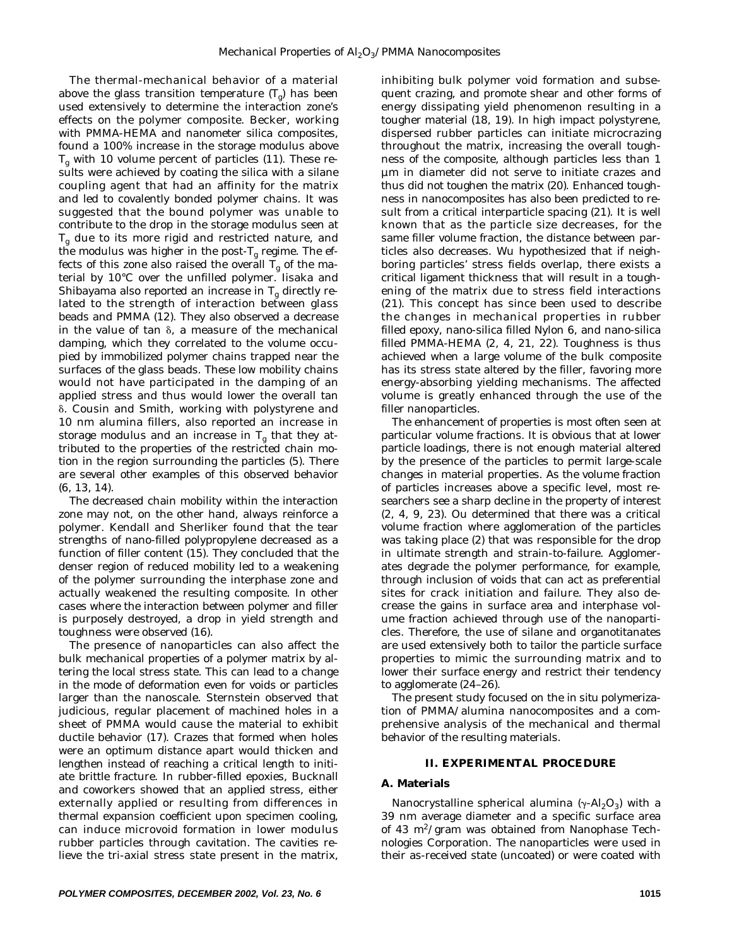The thermal-mechanical behavior of a material above the glass transition temperature  $(T<sub>o</sub>)$  has been used extensively to determine the interaction zone's effects on the polymer composite. Becker, working with PMMA-HEMA and nanometer silica composites, found a 100% increase in the storage modulus above  $T_{\sigma}$  with 10 volume percent of particles (11). These results were achieved by coating the silica with a silane coupling agent that had an affinity for the matrix and led to covalently bonded polymer chains. It was suggested that the bound polymer was unable to contribute to the drop in the storage modulus seen at  $T<sub>g</sub>$  due to its more rigid and restricted nature, and the modulus was higher in the post- $T_g$  regime. The effects of this zone also raised the overall  $T_g$  of the material by 10°C over the unfilled polymer. Iisaka and Shibayama also reported an increase in  $T_g$  directly related to the strength of interaction between glass beads and PMMA (12). They also observed a decrease in the value of tan  $\delta$ , a measure of the mechanical damping, which they correlated to the volume occupied by immobilized polymer chains trapped near the surfaces of the glass beads. These low mobility chains would not have participated in the damping of an applied stress and thus would lower the overall tan -. Cousin and Smith, working with polystyrene and 10 nm alumina fillers, also reported an increase in storage modulus and an increase in  $T_g$  that they attributed to the properties of the restricted chain motion in the region surrounding the particles (5). There are several other examples of this observed behavior (6, 13, 14).

The decreased chain mobility within the interaction zone may not, on the other hand, always reinforce a polymer. Kendall and Sherliker found that the tear strengths of nano-filled polypropylene decreased as a function of filler content (15). They concluded that the denser region of reduced mobility led to a weakening of the polymer surrounding the interphase zone and actually weakened the resulting composite. In other cases where the interaction between polymer and filler is purposely destroyed, a drop in yield strength and toughness were observed (16).

The presence of nanoparticles can also affect the bulk mechanical properties of a polymer matrix by altering the local stress state. This can lead to a change in the mode of deformation even for voids or particles larger than the nanoscale. Sternstein observed that judicious, regular placement of machined holes in a sheet of PMMA would cause the material to exhibit ductile behavior (17). Crazes that formed when holes were an optimum distance apart would thicken and lengthen instead of reaching a critical length to initiate brittle fracture. In rubber-filled epoxies, Bucknall and coworkers showed that an applied stress, either externally applied or resulting from differences in thermal expansion coefficient upon specimen cooling, can induce microvoid formation in lower modulus rubber particles through cavitation. The cavities relieve the tri-axial stress state present in the matrix,

inhibiting bulk polymer void formation and subsequent crazing, and promote shear and other forms of energy dissipating yield phenomenon resulting in a tougher material (18, 19). In high impact polystyrene, dispersed rubber particles can initiate microcrazing throughout the matrix, increasing the overall toughness of the composite, although particles less than 1 µm in diameter did not serve to initiate crazes and thus did not toughen the matrix (20). Enhanced toughness in nanocomposites has also been predicted to result from a critical interparticle spacing (21). It is well known that as the particle size decreases, for the same filler volume fraction, the distance between particles also decreases. Wu hypothesized that if neighboring particles' stress fields overlap, there exists a critical ligament thickness that will result in a toughening of the matrix due to stress field interactions (21). This concept has since been used to describe the changes in mechanical properties in rubber filled epoxy, nano-silica filled Nylon 6, and nano-silica filled PMMA-HEMA (2, 4, 21, 22). Toughness is thus achieved when a large volume of the bulk composite has its stress state altered by the filler, favoring more energy-absorbing yielding mechanisms. The affected volume is greatly enhanced through the use of the filler nanoparticles.

The enhancement of properties is most often seen at particular volume fractions. It is obvious that at lower particle loadings, there is not enough material altered by the presence of the particles to permit large-scale changes in material properties. As the volume fraction of particles increases above a specific level, most researchers see a sharp decline in the property of interest (2, 4, 9, 23). Ou determined that there was a critical volume fraction where agglomeration of the particles was taking place (2) that was responsible for the drop in ultimate strength and strain-to-failure. Agglomerates degrade the polymer performance, for example, through inclusion of voids that can act as preferential sites for crack initiation and failure. They also decrease the gains in surface area and interphase volume fraction achieved through use of the nanoparticles. Therefore, the use of silane and organotitanates are used extensively both to tailor the particle surface properties to mimic the surrounding matrix and to lower their surface energy and restrict their tendency to agglomerate (24–26).

The present study focused on the *in situ* polymerization of PMMA/alumina nanocomposites and a comprehensive analysis of the mechanical and thermal behavior of the resulting materials.

#### **II. EXPERIMENTAL PROCEDURE**

## **A. Materials**

Nanocrystalline spherical alumina  $(\gamma-AI_2O_3)$  with a 39 nm average diameter and a specific surface area of 43 m<sup>2</sup>/gram was obtained from Nanophase Technologies Corporation. The nanoparticles were used in their as-received state (uncoated) or were coated with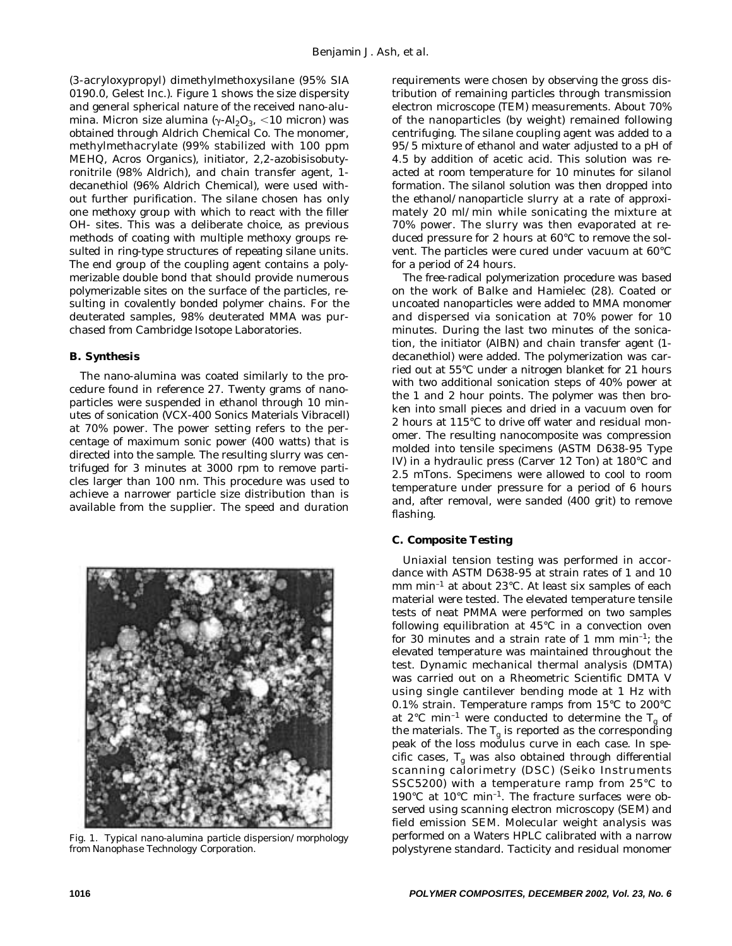(3-acryloxypropyl) dimethylmethoxysilane (95% SIA 0190.0, Gelest Inc.). *Figure 1* shows the size dispersity and general spherical nature of the received nano-alumina. Micron size alumina ( $\gamma$ -Al<sub>2</sub>O<sub>3</sub>, <10 micron) was obtained through Aldrich Chemical Co. The monomer, methylmethacrylate (99% stabilized with 100 ppm MEHQ, Acros Organics), initiator, 2,2-azobisisobutyronitrile (98% Aldrich), and chain transfer agent, 1 decanethiol (96% Aldrich Chemical), were used without further purification. The silane chosen has only one methoxy group with which to react with the filler OH- sites. This was a deliberate choice, as previous methods of coating with multiple methoxy groups resulted in ring-type structures of repeating silane units. The end group of the coupling agent contains a polymerizable double bond that should provide numerous polymerizable sites on the surface of the particles, resulting in covalently bonded polymer chains. For the deuterated samples, 98% deuterated MMA was purchased from Cambridge Isotope Laboratories.

## **B. Synthesis**

The nano-alumina was coated similarly to the procedure found in reference 27. Twenty grams of nanoparticles were suspended in ethanol through 10 minutes of sonication (VCX-400 Sonics Materials Vibracell) at 70% power. The power setting refers to the percentage of maximum sonic power (400 watts) that is directed into the sample. The resulting slurry was centrifuged for 3 minutes at 3000 rpm to remove particles larger than 100 nm. This procedure was used to achieve a narrower particle size distribution than is available from the supplier. The speed and duration



*Fig. 1. Typical nano-alumina particle dispersion/morphology from Nanophase Technology Corporation.*

requirements were chosen by observing the gross distribution of remaining particles through transmission electron microscope (TEM) measurements. About 70% of the nanoparticles (by weight) remained following centrifuging. The silane coupling agent was added to a 95/5 mixture of ethanol and water adjusted to a pH of 4.5 by addition of acetic acid. This solution was reacted at room temperature for 10 minutes for silanol formation. The silanol solution was then dropped into the ethanol/nanoparticle slurry at a rate of approximately 20 ml/min while sonicating the mixture at 70% power. The slurry was then evaporated at reduced pressure for 2 hours at 60°C to remove the solvent. The particles were cured under vacuum at 60°C for a period of 24 hours.

The free-radical polymerization procedure was based on the work of Balke and Hamielec (28). Coated or uncoated nanoparticles were added to MMA monomer and dispersed via sonication at 70% power for 10 minutes. During the last two minutes of the sonication, the initiator (AIBN) and chain transfer agent (1 decanethiol) were added. The polymerization was carried out at 55°C under a nitrogen blanket for 21 hours with two additional sonication steps of 40% power at the 1 and 2 hour points. The polymer was then broken into small pieces and dried in a vacuum oven for 2 hours at 115°C to drive off water and residual monomer. The resulting nanocomposite was compression molded into tensile specimens (ASTM D638-95 Type IV) in a hydraulic press (Carver 12 Ton) at 180°C and 2.5 mTons. Specimens were allowed to cool to room temperature under pressure for a period of 6 hours and, after removal, were sanded (400 grit) to remove flashing.

# **C. Composite Testing**

Uniaxial tension testing was performed in accordance with ASTM D638-95 at strain rates of 1 and 10 mm min–1 at about 23°C. At least six samples of each material were tested. The elevated temperature tensile tests of neat PMMA were performed on two samples following equilibration at 45°C in a convection oven for 30 minutes and a strain rate of 1 mm  $min^{-1}$ ; the elevated temperature was maintained throughout the test. Dynamic mechanical thermal analysis (DMTA) was carried out on a Rheometric Scientific DMTA V using single cantilever bending mode at 1 Hz with 0.1% strain. Temperature ramps from 15°C to 200°C at 2°C min<sup>-1</sup> were conducted to determine the  $T<sub>g</sub>$  of the materials. The  $T_g$  is reported as the corresponding peak of the loss modulus curve in each case. In specific cases,  $T_g$  was also obtained through differential scanning calorimetry (DSC) (Seiko Instruments SSC5200) with a temperature ramp from 25°C to 190°C at 10°C min–1. The fracture surfaces were observed using scanning electron microscopy (SEM) and field emission SEM. Molecular weight analysis was performed on a Waters HPLC calibrated with a narrow polystyrene standard. Tacticity and residual monomer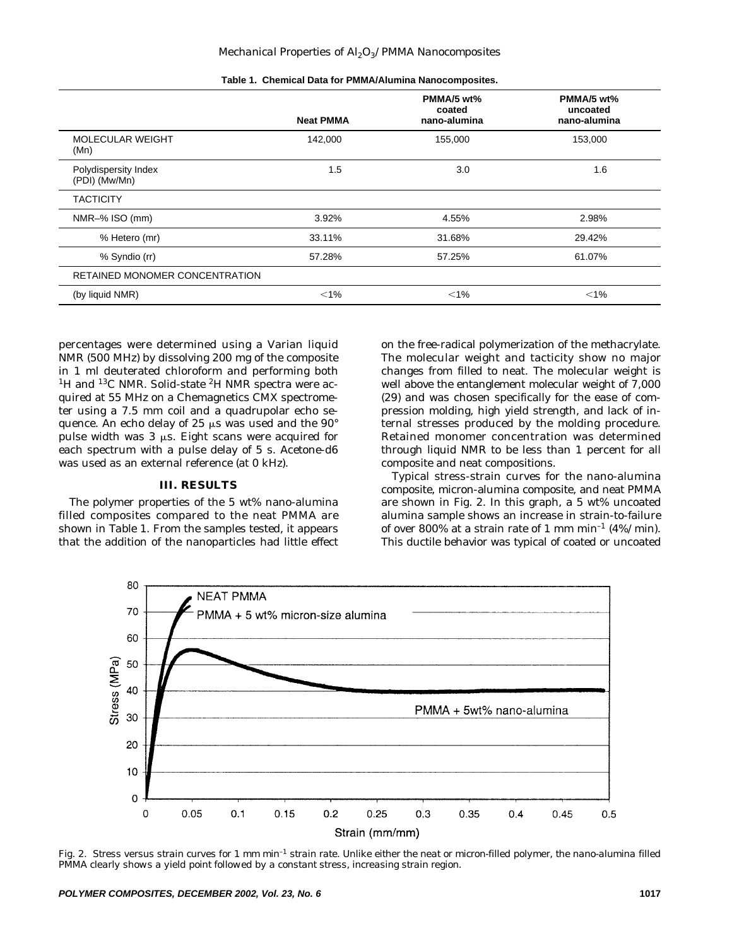|                                       | <b>Neat PMMA</b> | PMMA/5 wt%<br>coated<br>nano-alumina | PMMA/5 wt%<br>uncoated<br>nano-alumina |
|---------------------------------------|------------------|--------------------------------------|----------------------------------------|
| <b>MOLECULAR WEIGHT</b><br>(Mn)       | 142,000          | 155,000                              | 153,000                                |
| Polydispersity Index<br>(PDI) (Mw/Mn) | 1.5              | 3.0                                  | 1.6                                    |
| <b>TACTICITY</b>                      |                  |                                      |                                        |
| NMR-% ISO (mm)                        | 3.92%            | 4.55%                                | 2.98%                                  |
| % Hetero (mr)                         | 33.11%           | 31.68%                               | 29.42%                                 |
| % Syndio (rr)                         | 57.28%           | 57.25%                               | 61.07%                                 |
| RETAINED MONOMER CONCENTRATION        |                  |                                      |                                        |
| (by liquid NMR)                       | $< 1\%$          | $< 1\%$                              | $< 1\%$                                |

**Table 1. Chemical Data for PMMA/Alumina Nanocomposites.**

percentages were determined using a Varian liquid NMR (500 MHz) by dissolving 200 mg of the composite in 1 ml deuterated chloroform and performing both <sup>1</sup>H and <sup>13</sup>C NMR. Solid-state <sup>2</sup>H NMR spectra were acquired at 55 MHz on a Chemagnetics CMX spectrometer using a 7.5 mm coil and a quadrupolar echo sequence. An echo delay of 25  $\mu$ s was used and the 90° pulse width was  $3 \mu s$ . Eight scans were acquired for each spectrum with a pulse delay of 5 s. Acetone-d6 was used as an external reference (at 0 kHz).

### **III. RESULTS**

The polymer properties of the 5 wt% nano-alumina filled composites compared to the neat PMMA are shown in *Table 1*. From the samples tested, it appears that the addition of the nanoparticles had little effect on the free-radical polymerization of the methacrylate. The molecular weight and tacticity show no major changes from filled to neat. The molecular weight is well above the entanglement molecular weight of 7,000 (29) and was chosen specifically for the ease of compression molding, high yield strength, and lack of internal stresses produced by the molding procedure. Retained monomer concentration was determined through liquid NMR to be less than 1 percent for all composite and neat compositions.

Typical stress-strain curves for the nano-alumina composite, micron-alumina composite, and neat PMMA are shown in *Fig. 2*. In this graph, a 5 wt% uncoated alumina sample shows an increase in strain-to-failure of over 800% at a strain rate of 1 mm min<sup>-1</sup> (4%/min). This ductile behavior was typical of coated or uncoated



*Fig. 2. Stress versus strain curves for 1 mm min–1 strain rate. Unlike either the neat or micron-filled polymer, the nano-alumina filled PMMA clearly shows a yield point followed by a constant stress, increasing strain region.*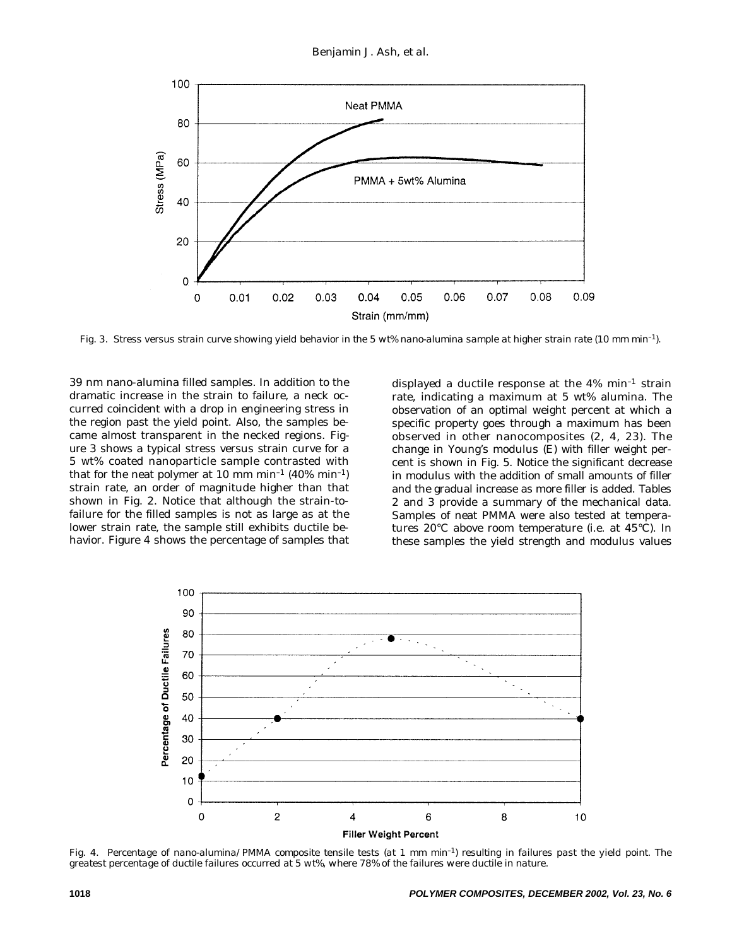

*Fig. 3. Stress versus strain curve showing yield behavior in the 5 wt% nano-alumina sample at higher strain rate (10 mm min–1).*

39 nm nano-alumina filled samples. In addition to the dramatic increase in the strain to failure, a neck occurred coincident with a drop in engineering stress in the region past the yield point. Also, the samples became almost transparent in the necked regions. *Figure 3* shows a typical stress versus strain curve for a 5 wt% coated nanoparticle sample contrasted with that for the neat polymer at 10 mm min<sup>-1</sup> (40% min<sup>-1</sup>) strain rate, an order of magnitude higher than that shown in *Fig. 2*. Notice that although the strain-tofailure for the filled samples is not as large as at the lower strain rate, the sample still exhibits ductile behavior. *Figure 4* shows the percentage of samples that

displayed a ductile response at the  $4\%$  min<sup>-1</sup> strain rate, indicating a maximum at 5 wt% alumina. The observation of an optimal weight percent at which a specific property goes through a maximum has been observed in other nanocomposites (2, 4, 23). The change in Young's modulus (E) with filler weight percent is shown in *Fig. 5*. Notice the significant decrease in modulus with the addition of small amounts of filler and the gradual increase as more filler is added. *Tables 2* and *3* provide a summary of the mechanical data. Samples of neat PMMA were also tested at temperatures 20°C above room temperature (i.e. at 45°C). In these samples the yield strength and modulus values



*Fig. 4. Percentage of nano-alumina/PMMA composite tensile tests (at 1 mm min–1) resulting in failures past the yield point. The greatest percentage of ductile failures occurred at 5 wt%, where 78% of the failures were ductile in nature.*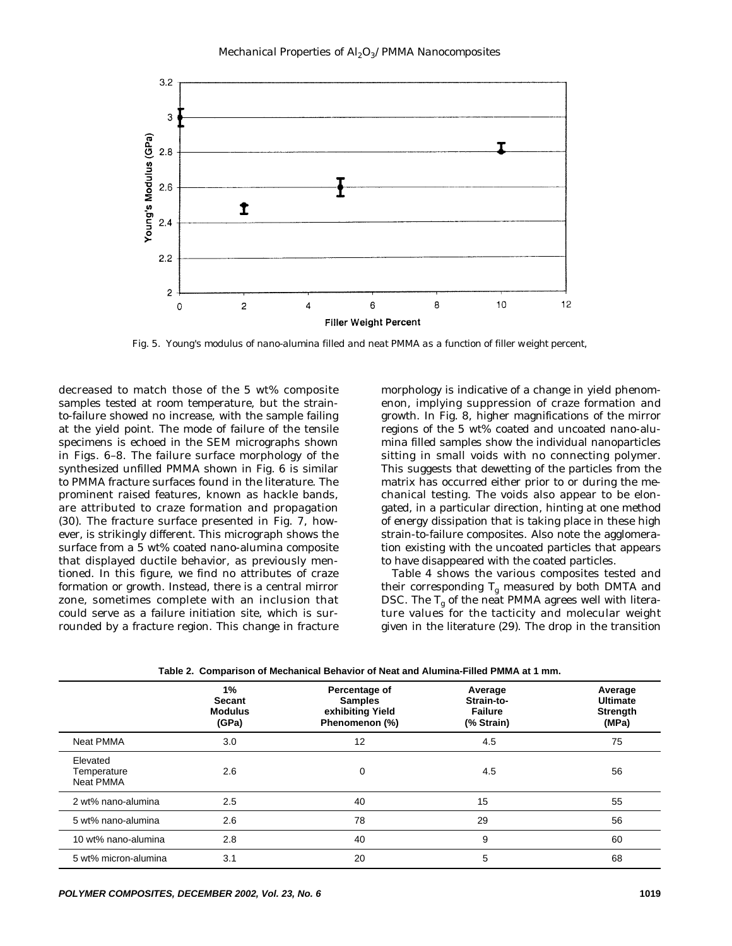

*Fig. 5. Young's modulus of nano-alumina filled and neat PMMA as a function of filler weight percent,*

decreased to match those of the 5 wt% composite samples tested at room temperature, but the strainto-failure showed no increase, with the sample failing at the yield point. The mode of failure of the tensile specimens is echoed in the SEM micrographs shown in *Figs. 6*–*8*. The failure surface morphology of the synthesized unfilled PMMA shown in *Fig. 6* is similar to PMMA fracture surfaces found in the literature. The prominent raised features, known as hackle bands, are attributed to craze formation and propagation (30). The fracture surface presented in *Fig. 7*, however, is strikingly different. This micrograph shows the surface from a 5 wt% coated nano-alumina composite that displayed ductile behavior, as previously mentioned. In this figure, we find no attributes of craze formation or growth. Instead, there is a central mirror zone, sometimes complete with an inclusion that could serve as a failure initiation site, which is surrounded by a fracture region. This change in fracture morphology is indicative of a change in yield phenomenon, implying suppression of craze formation and growth. In *Fig. 8*, higher magnifications of the mirror regions of the 5 wt% coated and uncoated nano-alumina filled samples show the individual nanoparticles sitting in small voids with no connecting polymer. This suggests that dewetting of the particles from the matrix has occurred either prior to or during the mechanical testing. The voids also appear to be elongated, in a particular direction, hinting at one method of energy dissipation that is taking place in these high strain-to-failure composites. Also note the agglomeration existing with the uncoated particles that appears to have disappeared with the coated particles.

*Table 4* shows the various composites tested and their corresponding  $T_g$  measured by both DMTA and DSC. The  $T_g$  of the neat PMMA agrees well with literature values for the tacticity and molecular weight given in the literature (29). The drop in the transition

|                                             | $1\%$<br><b>Secant</b><br><b>Modulus</b><br>(GPa) | Percentage of<br><b>Samples</b><br>exhibiting Yield<br>Phenomenon (%) | Average<br>Strain-to-<br><b>Failure</b><br>(% Strain) | Average<br><b>Ultimate</b><br>Strength<br>(MPa) |
|---------------------------------------------|---------------------------------------------------|-----------------------------------------------------------------------|-------------------------------------------------------|-------------------------------------------------|
| <b>Neat PMMA</b>                            | 3.0                                               | 12                                                                    | 4.5                                                   | 75                                              |
| Elevated<br>Temperature<br><b>Neat PMMA</b> | 2.6                                               | 0                                                                     | 4.5                                                   | 56                                              |
| 2 wt% nano-alumina                          | 2.5                                               | 40                                                                    | 15                                                    | 55                                              |
| 5 wt% nano-alumina                          | 2.6                                               | 78                                                                    | 29                                                    | 56                                              |
| 10 wt% nano-alumina                         | 2.8                                               | 40                                                                    | 9                                                     | 60                                              |
| 5 wt% micron-alumina                        | 3.1                                               | 20                                                                    | 5                                                     | 68                                              |

**Table 2. Comparison of Mechanical Behavior of Neat and Alumina-Filled PMMA at 1 mm.**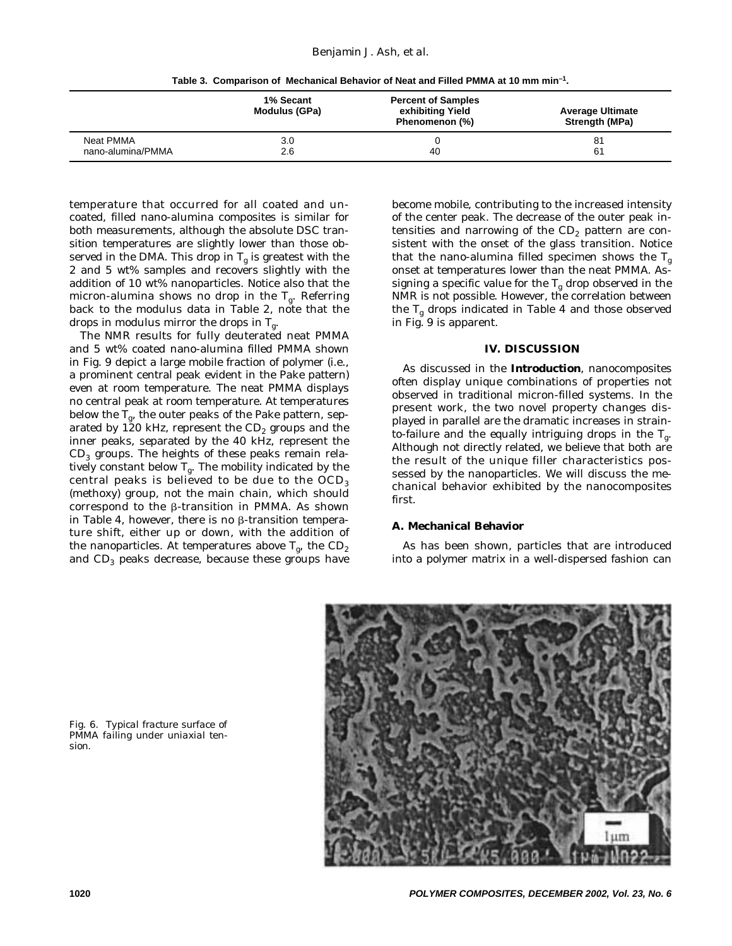**Table 3. Comparison of Mechanical Behavior of Neat and Filled PMMA at 10 mm min–1.**

|                   | 1% Secant<br>Modulus (GPa) | <b>Percent of Samples</b><br>exhibiting Yield<br>Phenomenon (%) | <b>Average Ultimate</b><br>Strength (MPa) |
|-------------------|----------------------------|-----------------------------------------------------------------|-------------------------------------------|
| Neat PMMA         | 3.0                        | 40                                                              | 81                                        |
| nano-alumina/PMMA | 2.6                        |                                                                 | 61                                        |

temperature that occurred for all coated and uncoated, filled nano-alumina composites is similar for both measurements, although the absolute DSC transition temperatures are slightly lower than those observed in the DMA. This drop in  $T_g$  is greatest with the 2 and 5 wt% samples and recovers slightly with the addition of 10 wt% nanoparticles. Notice also that the micron-alumina shows no drop in the  $T_g$ . Referring back to the modulus data in *Table 2*, note that the drops in modulus mirror the drops in  $T_g$ .

The NMR results for fully deuterated neat PMMA and 5 wt% coated nano-alumina filled PMMA shown in *Fig. 9* depict a large mobile fraction of polymer (i.e., a prominent central peak evident in the Pake pattern) even at room temperature. The neat PMMA displays no central peak at room temperature. At temperatures below the  $T_{\sigma}$ , the outer peaks of the Pake pattern, separated by 120 kHz, represent the  $CD<sub>2</sub>$  groups and the inner peaks, separated by the 40 kHz, represent the  $CD<sub>3</sub>$  groups. The heights of these peaks remain relatively constant below  $T_g$ . The mobility indicated by the central peaks is believed to be due to the  $OCD<sub>3</sub>$ (methoxy) group, not the main chain, which should correspond to the  $\beta$ -transition in PMMA. As shown in Table 4, however, there is no  $\beta$ -transition temperature shift, either up or down, with the addition of the nanoparticles. At temperatures above  $T_g$ , the  $CD_2$ and CD<sub>3</sub> peaks decrease, because these groups have become mobile, contributing to the increased intensity of the center peak. The decrease of the outer peak intensities and narrowing of the  $CD<sub>2</sub>$  pattern are consistent with the onset of the glass transition. Notice that the nano-alumina filled specimen shows the  $T_g$ onset at temperatures lower than the neat PMMA. Assigning a specific value for the  $T_g$  drop observed in the NMR is not possible. However, the correlation between the  $T_g$  drops indicated in *Table 4* and those observed in *Fig. 9* is apparent.

#### **IV. DISCUSSION**

As discussed in the **Introduction**, nanocomposites often display unique combinations of properties not observed in traditional micron-filled systems. In the present work, the two novel property changes displayed in parallel are the dramatic increases in strainto-failure and the equally intriguing drops in the  $T_{g}$ . Although not directly related, we believe that both are the result of the unique filler characteristics possessed by the nanoparticles. We will discuss the mechanical behavior exhibited by the nanocomposites first.

#### **A. Mechanical Behavior**

As has been shown, particles that are introduced into a polymer matrix in a well-dispersed fashion can



*Fig. 6. Typical fracture surface of PMMA failing under uniaxial tension.*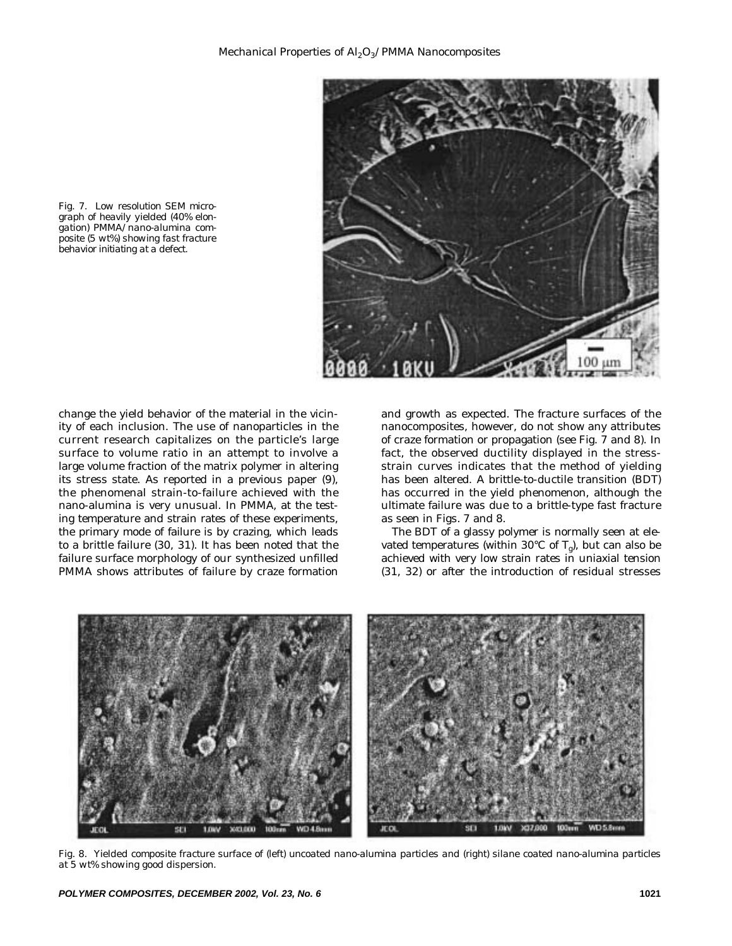

*Fig. 7. Low resolution SEM micrograph of heavily yielded (40% elongation) PMMA/nano-alumina composite (5 wt%) showing fast fracture behavior initiating at a defect.*

change the yield behavior of the material in the vicinity of each inclusion. The use of nanoparticles in the current research capitalizes on the particle's large surface to volume ratio in an attempt to involve a large volume fraction of the matrix polymer in altering its stress state. As reported in a previous paper (9), the phenomenal strain-to-failure achieved with the nano-alumina is very unusual. In PMMA, at the testing temperature and strain rates of these experiments, the primary mode of failure is by crazing, which leads to a brittle failure (30, 31). It has been noted that the failure surface morphology of our synthesized unfilled PMMA shows attributes of failure by craze formation and growth as expected. The fracture surfaces of the nanocomposites, however, do not show any attributes of craze formation or propagation (see *Fig. 7* and *8*). In fact, the observed ductility displayed in the stressstrain curves indicates that the method of yielding has been altered. A brittle-to-ductile transition (BDT) has occurred in the yield phenomenon, although the ultimate failure was due to a brittle-type fast fracture as seen in *Figs. 7* and *8*.

The BDT of a glassy polymer is normally seen at elevated temperatures (within 30°C of  $T_o$ ), but can also be achieved with very low strain rates in uniaxial tension (31, 32) or after the introduction of residual stresses



*Fig. 8. Yielded composite fracture surface of (left) uncoated nano-alumina particles and (right) silane coated nano-alumina particles at 5 wt% showing good dispersion.*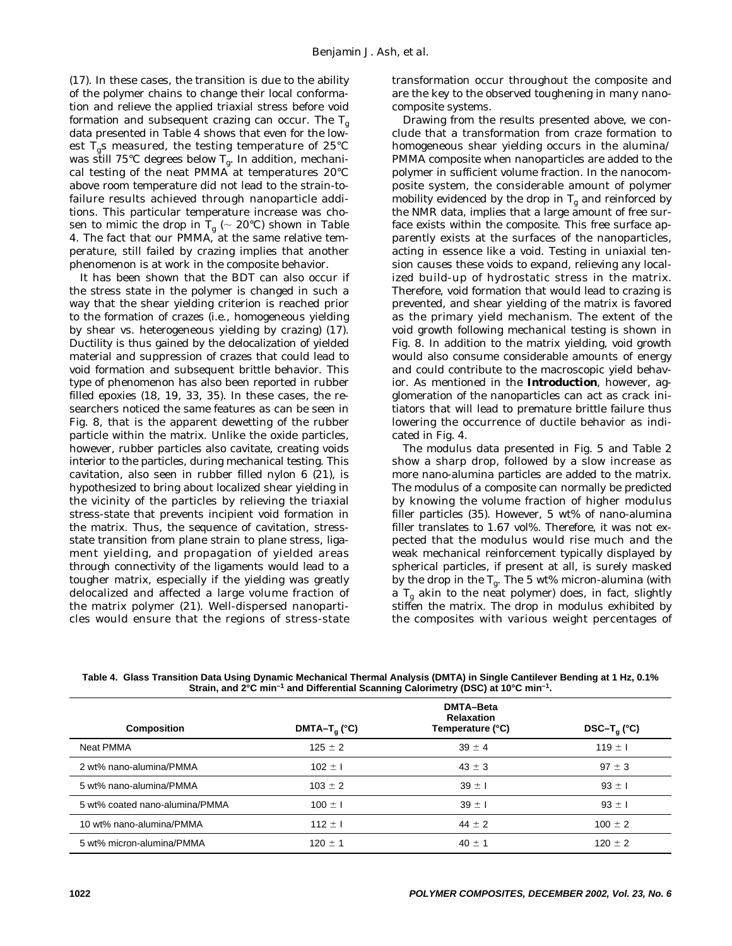(17). In these cases, the transition is due to the ability of the polymer chains to change their local conformation and relieve the applied triaxial stress before void formation and subsequent crazing can occur. The  $T_{g}$ data presented in *Table 4* shows that even for the lowest  $T_{\varphi}$ s measured, the testing temperature of 25°C was still 75°C degrees below  $T_g$ . In addition, mechanical testing of the neat PMMA at temperatures 20°C above room temperature did not lead to the strain-tofailure results achieved through nanoparticle additions. This particular temperature increase was chosen to mimic the drop in  $\mathrm{T_{g}}$  ( $\sim 20^{\circ}$ C) shown in *Table 4*. The fact that our PMMA, at the same relative temperature, still failed by crazing implies that another phenomenon is at work in the composite behavior.

It has been shown that the BDT can also occur if the stress state in the polymer is changed in such a way that the shear yielding criterion is reached prior to the formation of crazes (i.e., homogeneous yielding by shear vs. heterogeneous yielding by crazing) (17). Ductility is thus gained by the delocalization of yielded material and suppression of crazes that could lead to void formation and subsequent brittle behavior. This type of phenomenon has also been reported in rubber filled epoxies (18, 19, 33, 35). In these cases, the researchers noticed the same features as can be seen in *Fig. 8*, that is the apparent dewetting of the rubber particle within the matrix. Unlike the oxide particles, however, rubber particles also cavitate, creating voids interior to the particles, during mechanical testing. This cavitation, also seen in rubber filled nylon 6 (21), is hypothesized to bring about localized shear yielding in the vicinity of the particles by relieving the triaxial stress-state that prevents incipient void formation in the matrix. Thus, the sequence of cavitation, stressstate transition from plane strain to plane stress, ligament yielding, and propagation of yielded areas through connectivity of the ligaments would lead to a tougher matrix, especially if the yielding was greatly delocalized and affected a large volume fraction of the matrix polymer (21). Well-dispersed nanoparticles would ensure that the regions of stress-state

transformation occur throughout the composite and are the key to the observed toughening in many nanocomposite systems.

Drawing from the results presented above, we conclude that a transformation from craze formation to homogeneous shear yielding occurs in the alumina/ PMMA composite when nanoparticles are added to the polymer in sufficient volume fraction. In the nanocomposite system, the considerable amount of polymer mobility evidenced by the drop in  $T_g$  and reinforced by the NMR data, implies that a large amount of free surface exists within the composite. This free surface apparently exists at the surfaces of the nanoparticles, acting in essence like a void. Testing in uniaxial tension causes these voids to expand, relieving any localized build-up of hydrostatic stress in the matrix. Therefore, void formation that would lead to crazing is prevented, and shear yielding of the matrix is favored as the primary yield mechanism. The extent of the void growth following mechanical testing is shown in *Fig. 8*. In addition to the matrix yielding, void growth would also consume considerable amounts of energy and could contribute to the macroscopic yield behavior. As mentioned in the **Introduction**, however, agglomeration of the nanoparticles can act as crack initiators that will lead to premature brittle failure thus lowering the occurrence of ductile behavior as indicated in *Fig. 4*.

The modulus data presented in *Fig. 5* and *Table 2* show a sharp drop, followed by a slow increase as more nano-alumina particles are added to the matrix. The modulus of a composite can normally be predicted by knowing the volume fraction of higher modulus filler particles (35). However, 5 wt% of nano-alumina filler translates to 1.67 vol%. Therefore, it was not expected that the modulus would rise much and the weak mechanical reinforcement typically displayed by spherical particles, if present at all, is surely masked by the drop in the  $T_g$ . The 5 wt% micron-alumina (with a  $T_g$  akin to the neat polymer) does, in fact, slightly stiffen the matrix. The drop in modulus exhibited by the composites with various weight percentages of

| <b>Composition</b>             | DMTA-T <sub>a</sub> (°C) | <b>DMTA-Beta</b><br><b>Relaxation</b><br>Temperature (°C) | $DSC-T_{\alpha}$ (°C) |
|--------------------------------|--------------------------|-----------------------------------------------------------|-----------------------|
| Neat PMMA                      | $125 \pm 2$              | $39 \pm 4$                                                | 119 $\pm$ 1           |
| 2 wt% nano-alumina/PMMA        | $102 \pm 1$              | $43 \pm 3$                                                | $97 \pm 3$            |
| 5 wt% nano-alumina/PMMA        | $103 \pm 2$              | $39 \pm 1$                                                | $93 \pm 1$            |
| 5 wt% coated nano-alumina/PMMA | $100 \pm 1$              | $39 \pm 1$                                                | $93 \pm 1$            |
| 10 wt% nano-alumina/PMMA       | $112 \pm 1$              | $44 \pm 2$                                                | $100 \pm 2$           |
| 5 wt% micron-alumina/PMMA      | $120 \pm 1$              | $40 \pm 1$                                                | $120 \pm 2$           |

**Table 4. Glass Transition Data Using Dynamic Mechanical Thermal Analysis (DMTA) in Single Cantilever Bending at 1 Hz, 0.1% Strain, and 2°C min–1 and Differential Scanning Calorimetry (DSC) at 10°C min–1.**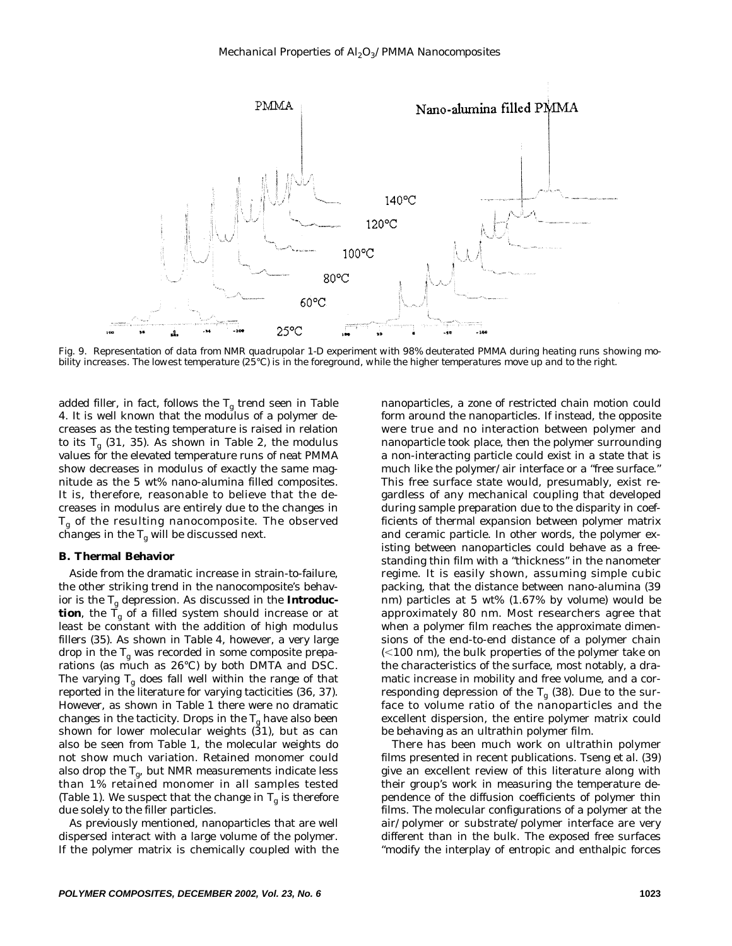

*Fig. 9. Representation of data from NMR quadrupolar 1-D experiment with 98% deuterated PMMA during heating runs showing mobility increases. The lowest temperature (25°C) is in the foreground, while the higher temperatures move up and to the right.*

added filler, in fact, follows the Tg trend seen in *Table 4*. It is well known that the modulus of a polymer decreases as the testing temperature is raised in relation to its  $T_g$  (31, 35). As shown in *Table 2*, the modulus values for the elevated temperature runs of neat PMMA show decreases in modulus of exactly the same magnitude as the 5 wt% nano-alumina filled composites. It is, therefore, reasonable to believe that the decreases in modulus are entirely due to the changes in  $T_g$  of the resulting nanocomposite. The observed changes in the  $\mathrm{T_g}$  will be discussed next.

#### **B. Thermal Behavior**

Aside from the dramatic increase in strain-to-failure, the other striking trend in the nanocomposite's behavior is the Tg depression. As discussed in the **Introduction**, the  $\tilde{T}_g$  of a filled system should increase or at least be constant with the addition of high modulus fillers (35). As shown in *Table 4*, however, a very large drop in the  $T_g$  was recorded in some composite preparations (as much as 26°C) by both DMTA and DSC. The varying  $T_g$  does fall well within the range of that reported in the literature for varying tacticities (36, 37). However, as shown in *Table 1* there were no dramatic changes in the tacticity. Drops in the  $T_g$  have also been shown for lower molecular weights  $(31)$ , but as can also be seen from *Table 1*, the molecular weights do not show much variation. Retained monomer could also drop the  $T_{\sigma}$ , but NMR measurements indicate less than 1% retained monomer in all samples tested (*Table 1*). We suspect that the change in  $T_g$  is therefore due solely to the filler particles.

As previously mentioned, nanoparticles that are well dispersed interact with a large volume of the polymer. If the polymer matrix is chemically coupled with the nanoparticles, a zone of restricted chain motion could form around the nanoparticles. If instead, the opposite were true and no interaction between polymer and nanoparticle took place, then the polymer surrounding a non-interacting particle could exist in a state that is much like the polymer/air interface or a "free surface." This free surface state would, presumably, exist regardless of any mechanical coupling that developed during sample preparation due to the disparity in coefficients of thermal expansion between polymer matrix and ceramic particle. In other words, the polymer existing between nanoparticles could behave as a freestanding thin film with a "thickness" in the nanometer regime. It is easily shown, assuming simple cubic packing, that the distance between nano-alumina (39 nm) particles at 5 wt% (1.67% by volume) would be approximately 80 nm. Most researchers agree that when a polymer film reaches the approximate dimensions of the end-to-end distance of a polymer chain  $(<$ 100 nm), the bulk properties of the polymer take on the characteristics of the surface, most notably, a dramatic increase in mobility and free volume, and a corresponding depression of the  $T_g$  (38). Due to the surface to volume ratio of the nanoparticles and the excellent dispersion, the entire polymer matrix could be behaving as an ultrathin polymer film.

There has been much work on ultrathin polymer films presented in recent publications. Tseng *et al*. (39) give an excellent review of this literature along with their group's work in measuring the temperature dependence of the diffusion coefficients of polymer thin films. The molecular configurations of a polymer at the air/polymer or substrate/polymer interface are very different than in the bulk. The exposed free surfaces "modify the interplay of entropic and enthalpic forces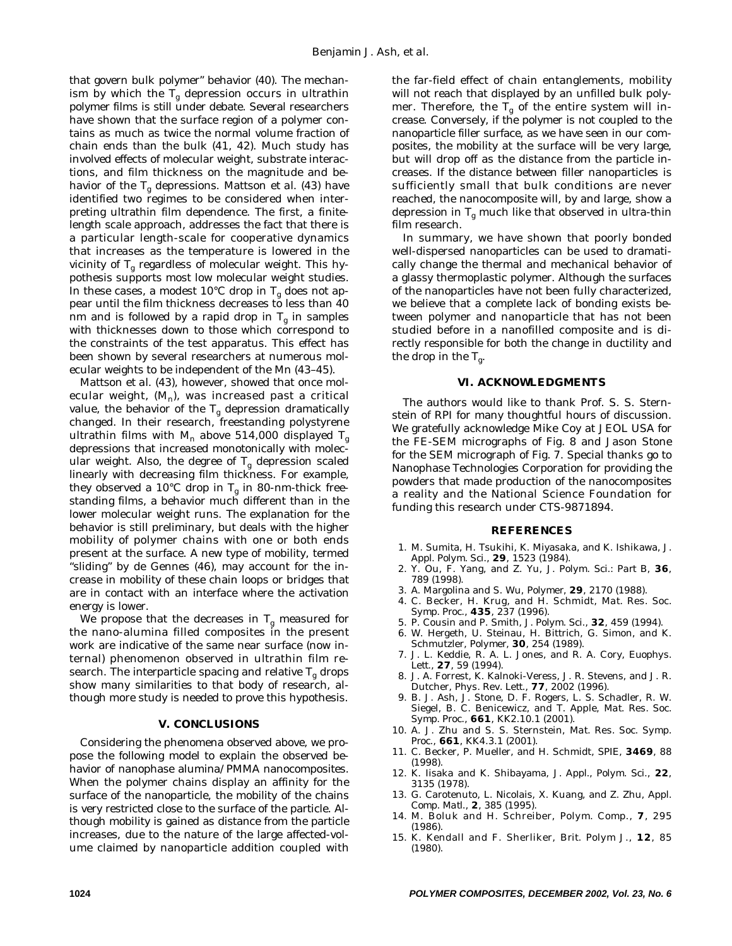that govern bulk polymer" behavior (40). The mechanism by which the  $T_g$  depression occurs in ultrathin polymer films is still under debate. Several researchers have shown that the surface region of a polymer contains as much as twice the normal volume fraction of chain ends than the bulk (41, 42). Much study has involved effects of molecular weight, substrate interactions, and film thickness on the magnitude and behavior of the Tg depressions. Mattson *et al*. (43) have identified two regimes to be considered when interpreting ultrathin film dependence. The first, a finitelength scale approach, addresses the fact that there is a particular length-scale for cooperative dynamics that increases as the temperature is lowered in the vicinity of  $T_g$  regardless of molecular weight. This hypothesis supports most low molecular weight studies. In these cases, a modest 10°C drop in  $T_{\sigma}$  does not appear until the film thickness decreases to less than 40 nm and is followed by a rapid drop in  $T_g$  in samples with thicknesses down to those which correspond to the constraints of the test apparatus. This effect has been shown by several researchers at numerous molecular weights to be independent of the Mn (43–45).

Mattson *et al*. (43), however, showed that once molecular weight,  $(M_n)$ , was increased past a critical value, the behavior of the  $T_g$  depression dramatically changed. In their research, freestanding polystyrene ultrathin films with M<sub>n</sub> above 514,000 displayed T<sub>g</sub> depressions that increased monotonically with molecular weight. Also, the degree of  $T_g$  depression scaled linearly with decreasing film thickness. For example, they observed a 10<sup>°</sup>C drop in  $T_a$  in 80-nm-thick freestanding films, a behavior much different than in the lower molecular weight runs. The explanation for the behavior is still preliminary, but deals with the higher mobility of polymer chains with one or both ends present at the surface. A new type of mobility, termed "sliding" by de Gennes (46), may account for the increase in mobility of these chain loops or bridges that are in contact with an interface where the activation energy is lower.

We propose that the decreases in  $T_g$  measured for the nano-alumina filled composites in the present work are indicative of the same near surface (now internal) phenomenon observed in ultrathin film research. The interparticle spacing and relative  $T_g$  drops show many similarities to that body of research, although more study is needed to prove this hypothesis.

#### **V. CONCLUSIONS**

Considering the phenomena observed above, we propose the following model to explain the observed behavior of nanophase alumina/PMMA nanocomposites. When the polymer chains display an affinity for the surface of the nanoparticle, the mobility of the chains is very restricted close to the surface of the particle. Although mobility is gained as distance from the particle increases, due to the nature of the large affected-volume claimed by nanoparticle addition coupled with the far-field effect of chain entanglements, mobility will not reach that displayed by an unfilled bulk polymer. Therefore, the  $T_g$  of the entire system will increase. Conversely, if the polymer is not coupled to the nanoparticle filler surface, as we have seen in our composites, the mobility at the surface will be very large, but will drop off as the distance from the particle increases. If the distance between filler nanoparticles is sufficiently small that bulk conditions are never reached, the nanocomposite will, by and large, show a depression in  $T_g$  much like that observed in ultra-thin film research.

In summary, we have shown that poorly bonded well-dispersed nanoparticles can be used to dramatically change the thermal and mechanical behavior of a glassy thermoplastic polymer. Although the surfaces of the nanoparticles have not been fully characterized, we believe that a complete lack of bonding exists between polymer and nanoparticle that has not been studied before in a nanofilled composite and is directly responsible for both the change in ductility and the drop in the  $T_{g}$ .

#### **VI. ACKNOWLEDGMENTS**

The authors would like to thank Prof. S. S. Sternstein of RPI for many thoughtful hours of discussion. We gratefully acknowledge Mike Coy at JEOL USA for the FE-SEM micrographs of *Fig. 8* and Jason Stone for the SEM micrograph of *Fig. 7*. Special thanks go to Nanophase Technologies Corporation for providing the powders that made production of the nanocomposites a reality and the National Science Foundation for funding this research under CTS-9871894.

#### **REFERENCES**

- 1. M. Sumita, H. Tsukihi, K. Miyasaka, and K. Ishikawa, *J. Appl. Polym. Sci*., **29**, 1523 (1984).
- 2. Y. Ou, F. Yang, and Z. Yu, *J. Polym. Sci.: Part B*, **36**, 789 (1998).
- 3. A. Margolina and S. Wu, *Polymer*, **29**, 2170 (1988).
- 4. C. Becker, H. Krug, and H. Schmidt, *Mat. Res. Soc. Symp. Proc*., **435**, 237 (1996).
- 5. P. Cousin and P. Smith, *J. Polym. Sci*., **32**, 459 (1994).
- 6. W. Hergeth, U. Steinau, H. Bittrich, G. Simon, and K. Schmutzler, *Polymer*, **30**, 254 (1989).
- 7. J. L. Keddie, R. A. L. Jones, and R. A. Cory, *Euophys. Lett*., **27**, 59 (1994).
- 8. J. A. Forrest, K. Kalnoki-Veress, J. R. Stevens, and J. R. Dutcher, *Phys. Rev. Lett*., **77**, 2002 (1996).
- 9. B. J. Ash, J. Stone, D. F. Rogers, L. S. Schadler, R. W. Siegel, B. C. Benicewicz, and T. Apple, *Mat. Res. Soc. Symp. Proc*., **661**, KK2.10.1 (2001).
- 10. A. J. Zhu and S. S. Sternstein, *Mat. Res. Soc. Symp. Proc*., **661**, KK4.3.1 (2001).
- 11. C. Becker, P. Mueller, and H. Schmidt, *SPIE*, **3469**, 88 (1998).
- 12. K. Iisaka and K. Shibayama, *J. Appl., Polym. Sci*., **22**, 3135 (1978).
- 13. G. Carotenuto, L. Nicolais, X. Kuang, and Z. Zhu, *Appl. Comp. Matl*., **2**, 385 (1995).
- 14. M. Boluk and H. Schreiber, *Polym. Comp*., **7**, 295 (1986).
- 15. K. Kendall and F. Sherliker, *Brit. Polym J*., **12**, 85 (1980).